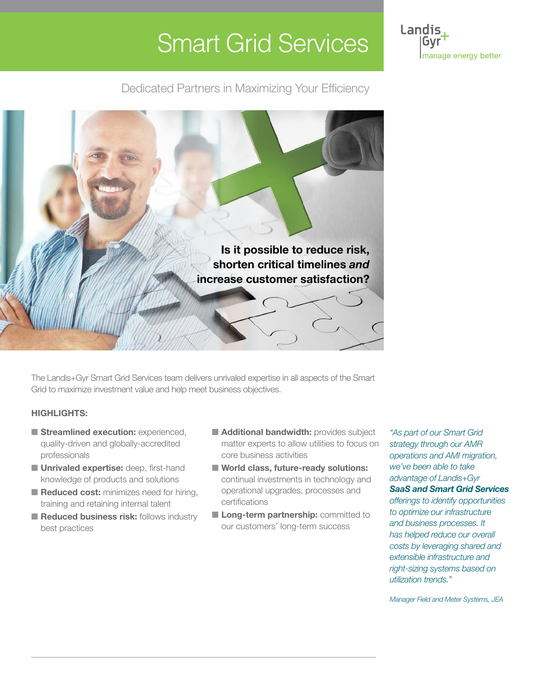# Smart Grid Services



Dedicated Partners in Maximizing Your Efficiency



The Landis+Gyr Smart Grid Services team delivers unrivaled expertise in all aspects of the Smart Grid to maximize investment value and help meet business objectives.

#### **HIGHLIGHTS:**

- **Streamlined execution:** experienced, quality-driven and globally-accredited professionals
- **Unrivaled expertise:** deep, first-hand knowledge of products and solutions
- **Reduced cost:** minimizes need for hiring, training and retaining internal talent
- Reduced business risk: follows industry best practices
- **Additional bandwidth:** provides subject matter experts to allow utilities to focus on core business activities
- World class, future-ready solutions: continual investments in technology and operational upgrades, processes and certifications
- **Long-term partnership:** committed to our customers' long-term success

*strategy through our AMR operations and AMI migration, we've been able to take advantage of Landis+Gyr SaaS and Smart Grid Services offerings to identify opportunities to optimize our infrastructure and business processes. It has helped reduce our overall* 

*"As part of our Smart Grid* 

*costs by leveraging shared and extensible infrastructure and right-sizing systems based on utilization trends."*

*Manager Field and Meter Systems, JEA*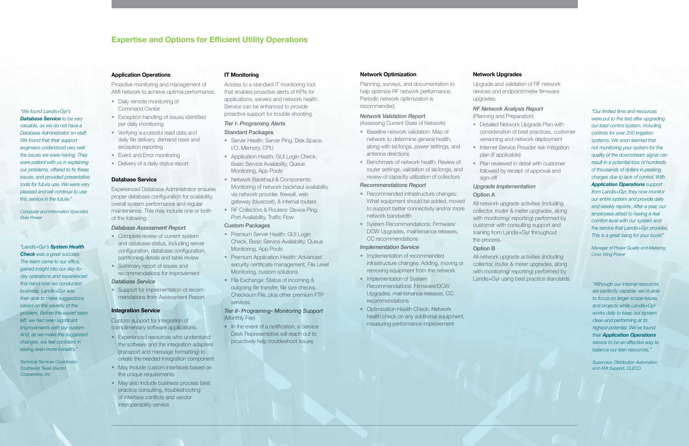#### **Application Operations**

- Daily remote monitoring of Command Center
- Exception handling of issues identified per daily monitoring
- Verifying successful read data and daily file delivery, demand reset and exception reporting
- Event and Error monitoring
- Delivery of a daily status report

Proactive monitoring and management of AMI network to achieve optimal performance.

#### **Database Service**

- Complete review of current system and database status, including server configuration, database configuration, partitioning details and table review
- Summary report of issues and recommendations for improvement

Experienced Database Administrator ensures proper database configuration for scalability, overall system performance and regular maintenance. This may include one or both of the following:

#### *Database Assessment Report*

#### *Database Service*

• Support for implementation of recommendations from Assessment Report

#### **Integration Service**

Custom support for integration of complimentary software applications.

- Server Health: Server Ping, Disk Space, I/O, Memory, CPU
- Application Health: GUI Login Check, Basic Service Availability, Queue Monitoring, App Pools
- Network Backhaul & Components: Monitoring of network backhaul availability via network provider, firewall, web gateway (bluecoat), & internal routers
- RF Collectors & Routers: Device Ping, Port Availability, Traffic Flow

- Premium Server Health: GUI Login Check, Basic Service Availability, Queue Monitoring, App Pools
- Premium Application Health: Advanced security certificate management, File Level Monitoring, custom solutions
- File Exchange: Status of incoming & outgoing file transfer, file size checks, Checksum File, plus other premium FTP services

- Experienced resources who understand the software and the integration adapters (transport and message formatting) to create the needed integration component
- May include custom interfaces based on the unique requirements
- May also include business process best practice consulting, troubleshooting of interface conflicts and vendor interoperability service

• In the event of a notification, a Service Desk Representative will reach out to proactively help troubleshoot issues

#### **IT Monitoring**

Access to a standard IT monitoring tool that enables proactive alerts of KPIs for applications, servers and network health. Service can be enhanced to provide proactive support for trouble-shooting.

#### *Tier I- Programing Alerts*

#### Standard Packages

- Recommended infrastructure changes: What equipment should be added, moved to support better connectivity and/or more network bandwidth
- System Recommendations: Firmware/ DCW Upgrades, maintenance releases, CC recommendations

- Implementation of recommended infrastructure changes: Adding, moving or removing equipment from the network
- Implementation of System Recommendations: Firmware/DCW Upgrades, maintenance releases, CC recommendations
- Optimization Health Check: Network health check on any additional equipment, measuring performance improvement

#### Custom Packages

#### *Tier II- Programing- Monitoring Support* (Monthly Fee)

### **Network Optimization**

Planning, surveys, and documentation to help optimize RF network performance. Periodic network optimization is recommended.

#### *Network Validation Report*

(Assessing Current State of Network) • Baseline network validation: Map of

- network to determine general health, along with lat/longs, power settings, and antenna directions
- Benchmark of network health: Review of router settings, validation of lat/longs, and review of capacity utilization of collectors

#### *Recommendations Report*

#### *Implementation Service*

#### **Network Upgrades**

Upgrade and validation of RF network devices and endpoint/meter firmware

upgrades.

#### *RF Network Analysis Report*

(Planning and Preparation)

- Detailed Network Upgrade Plan with consideration of best practices, customer versioning and network deployment
- Internet Service Provider risk mitigation plan (if applicable)
- Plan reviewed in detail with customer followed by receipt of approval and sign-off

#### *Upgrade Implementation*

# Option A

All network upgrade activities (including collector, router & meter upgrades, along with monitoring/ reporting) performed by customer with consulting support and training from Landis+Gyr throughout

the process Option B

All network upgrade activities (including collector, router & meter upgrades, along with monitoring/ reporting) performed by Landis+Gyr using best practice standards

## **Expertise and Options for Efficient Utility Operations**

*"We found Landis+Gyr's Database Service to be very valuable, as we do not have a Database Administrator on staff. We found that their support engineers understood very well the issues we were having. They were patient with us in explaining our problems, offered to fix these issues, and provided preventative tools for future use. We were very pleased and will continue to use this service in the future."*

*Computer and Information Specialist,* 

*Dixie Power*

*"Although our internal resources are perfectly capable, we're able to focus on larger scope issues and projects while Landis+Gyr works daily to keep our system clean and performing at its highest potential. We've found their Application Operations service to be an effective way to balance our lean resources."*

*Supervisor, Distribution Automation and AMI Support, CLECO*

*"Our limited time and resources were put to the test after upgrading our load control system, including controls for over 200 irrigation systems. We soon learned that not monitoring your system for the quality of the downstream signal can result in a potential loss of hundreds of thousands of dollars in peaking charges due to lack of control. With Application Operations support from Landis+Gyr, they now monitor our entire system and provide daily and weekly reports. After a year, our employees attest to having a real comfort level with our system and the service that Landis+Gyr provides. This is a great bang for your buck!"*

*Manager of Power Quality and Metering, Crow Wing Power*

*"Landis+Gyr's System Health Check was a great success. The team came to our office, gained insight into our day-today operations and experienced first-hand how we conducted business. Landis+Gyr was then able to make suggestions based on the severity of the problem. Before the expert team left, we had seen significant improvements with our system. And, as we make the suggested changes, we feel confident in seeing even more benefits."*

*Technical Services Coordinator, Southwest Texas Electric Cooperative, Inc*